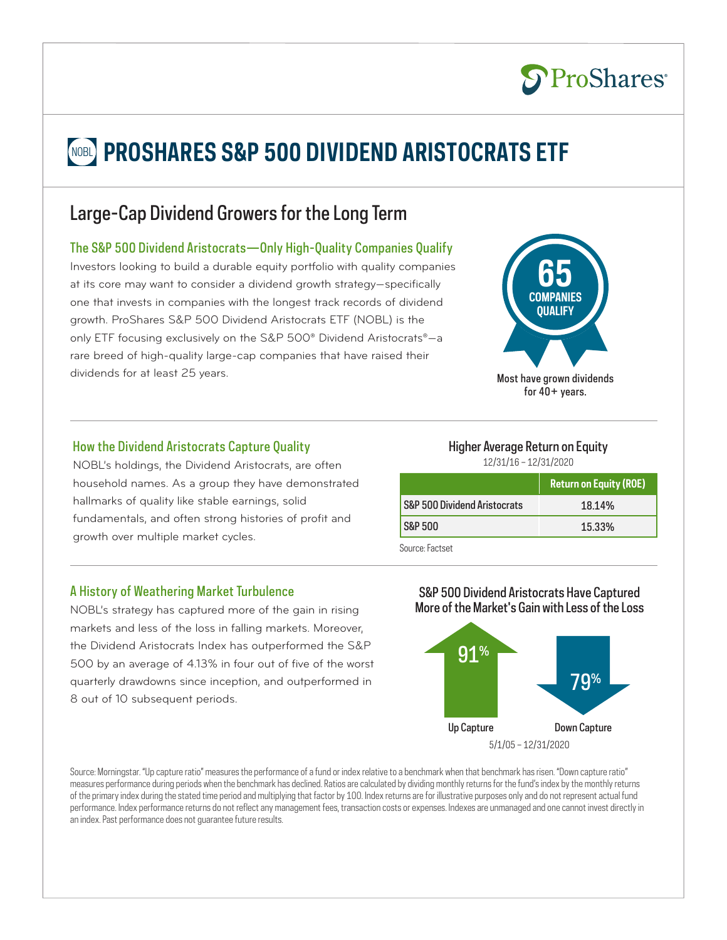# **NOBL PROSHARES S&P 500 DIVIDEND ARISTOCRATS ETF**

## Large-Cap Dividend Growers for the Long Term

## The S&P 500 Dividend Aristocrats—Only High-Quality Companies Qualify

Investors looking to build a durable equity portfolio with quality companies at its core may want to consider a dividend growth strategy—specifically one that invests in companies with the longest track records of dividend growth. ProShares S&P 500 Dividend Aristocrats ETF (NOBL) is the only ETF focusing exclusively on the S&P 500® Dividend Aristocrats®—a rare breed of high-quality large-cap companies that have raised their dividends for at least 25 years. The same state of the state of the Most have grown dividends



**S**ProShares®

## How the Dividend Aristocrats Capture Quality

NOBL's holdings, the Dividend Aristocrats, are often household names. As a group they have demonstrated hallmarks of quality like stable earnings, solid fundamentals, and often strong histories of profit and growth over multiple market cycles.

## A History of Weathering Market Turbulence

NOBL's strategy has captured more of the gain in rising markets and less of the loss in falling markets. Moreover, the Dividend Aristocrats Index has outperformed the S&P 500 by an average of 4.13% in four out of five of the worst quarterly drawdowns since inception, and outperformed in 8 out of 10 subsequent periods.

## Higher Average Return on Equity

12/31/16 – 12/31/2020

|                              | <b>Return on Equity (ROE)</b> |
|------------------------------|-------------------------------|
| S&P 500 Dividend Aristocrats | 18.14%                        |
| <b>S&amp;P 500</b>           | 15.33%                        |
| Source: Factset              |                               |

### S&P 500 Dividend Aristocrats Have Captured More of the Market's Gain with Less of the Loss



Source: Morningstar. "Up capture ratio" measures the performance of a fund or index relative to a benchmark when that benchmark has risen. "Down capture ratio" measures performance during periods when the benchmark has declined. Ratios are calculated by dividing monthly returns for the fund's index by the monthly returns of the primary index during the stated time period and multiplying that factor by 100. Index returns are for illustrative purposes only and do not represent actual fund performance. Index performance returns do not reflect any management fees, transaction costs or expenses. Indexes are unmanaged and one cannot invest directly in an index. Past performance does not guarantee future results.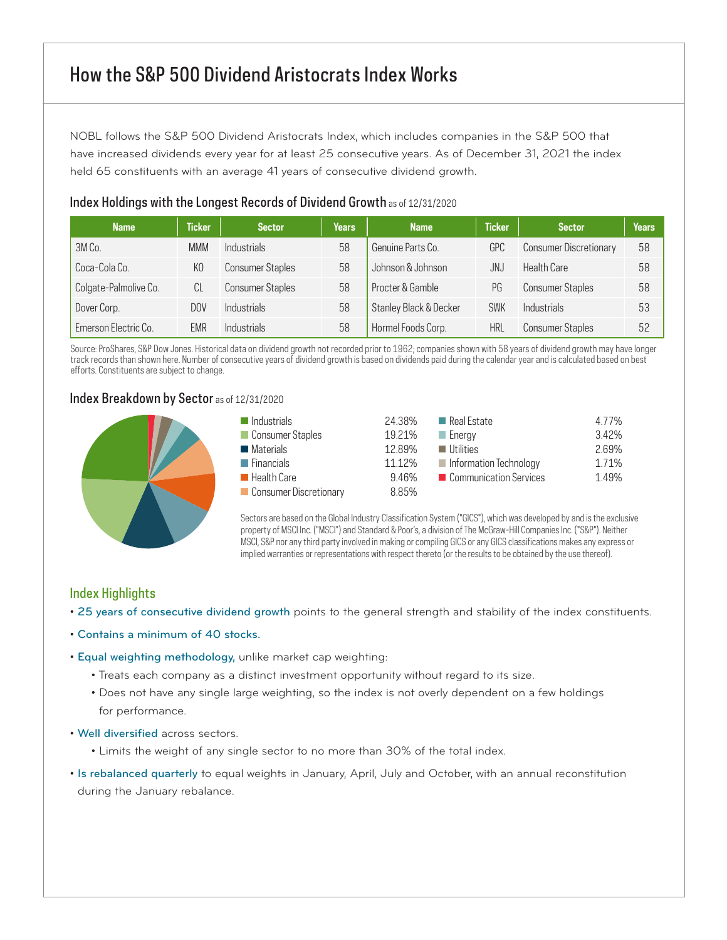## How the S&P 500 Dividend Aristocrats Index Works

NOBL follows the S&P 500 Dividend Aristocrats Index, which includes companies in the S&P 500 that have increased dividends every year for at least 25 consecutive years. As of December 31, 2021 the index held 65 constituents with an average 41 years of consecutive dividend growth.

| $11900$ True and $11900$ and $11900$ and $11900$ and $11900$ and $11900$ and $11900$ and $11900$ |               |                         |        |                        |               |                               |       |
|--------------------------------------------------------------------------------------------------|---------------|-------------------------|--------|------------------------|---------------|-------------------------------|-------|
| <b>Name</b>                                                                                      | <b>Ticker</b> | <b>Sector</b>           | Years' | <b>Name</b>            | <b>Ticker</b> | <b>Sector</b>                 | Years |
| 3M Co.                                                                                           | <b>MMM</b>    | <b>Industrials</b>      | 58     | Genuine Parts Co.      | GPC           | <b>Consumer Discretionary</b> | 58    |
| Coca-Cola Co.                                                                                    | KO            | <b>Consumer Staples</b> | 58     | Johnson & Johnson      | JNJ           | Health Care                   | 58    |
| Colgate-Palmolive Co.                                                                            | CL            | <b>Consumer Staples</b> | 58     | Procter & Gamble       | PG            | <b>Consumer Staples</b>       | 58    |
| Dover Corp.                                                                                      | DOV           | <b>Industrials</b>      | 58     | Stanley Black & Decker | <b>SWK</b>    | <b>Industrials</b>            | 53    |
| Emerson Electric Co.                                                                             | EMR           | <b>Industrials</b>      | 58     | Hormel Foods Corp.     | <b>HRL</b>    | <b>Consumer Staples</b>       | 52    |

## Index Holdings with the Longest Records of Dividend Growth as of 12/31/2020

Source: ProShares, S&P Dow Jones. Historical data on dividend growth not recorded prior to 1962; companies shown with 58 years of dividend growth may have longer track records than shown here. Number of consecutive years of dividend growth is based on dividends paid during the calendar year and is calculated based on best efforts. Constituents are subject to change.

### Index Breakdown by Sector as of 12/31/2020



| $\blacksquare$ Industrials | 24.38% | Real Estate              | 4.77% |
|----------------------------|--------|--------------------------|-------|
| Consumer Staples           | 19.21% | $\blacksquare$ Energy    | 3.42% |
| <b>Materials</b>           | 12.89% | $\blacksquare$ Utilities | 2.69% |
| $\blacksquare$ Financials  | 11.12% | Information Technology   | 1.71% |
| Health Care                | 9.46%  | Communication Services   | 149%  |
| Consumer Discretionary     | 8.85%  |                          |       |

Sectors are based on the Global Industry Classification System ("GICS"), which was developed by and is the exclusive property of MSCI Inc. ("MSCI") and Standard & Poor's, a division of The McGraw-Hill Companies Inc. ("S&P"). Neither MSCI, S&P nor any third party involved in making or compiling GICS or any GICS classifications makes any express or implied warranties or representations with respect thereto (or the results to be obtained by the use thereof).

### Index Highlights

- 25 years of consecutive dividend growth points to the general strength and stability of the index constituents.
- Contains a minimum of 40 stocks.
- Equal weighting methodology, unlike market cap weighting:
	- Treats each company as a distinct investment opportunity without regard to its size.
	- Does not have any single large weighting, so the index is not overly dependent on a few holdings for performance.
- Well diversified across sectors.
	- Limits the weight of any single sector to no more than 30% of the total index.
- Is rebalanced quarterly to equal weights in January, April, July and October, with an annual reconstitution during the January rebalance.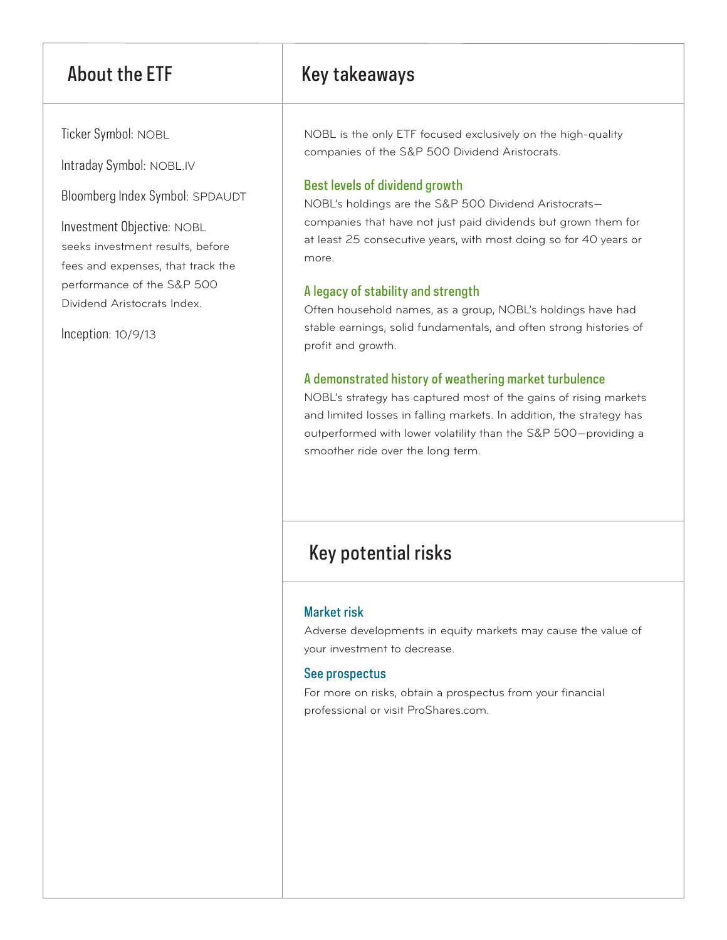Ticker Symbol: NOBL

Intraday Symbol: NOBL.IV

Bloomberg Index Symbol: SPDAUDT

Investment Objective: NOBL seeks investment results, before fees and expenses, that track the performance of the S&P 500 Dividend Aristocrats Index.

Inception: 10/9/13

## About the ETF Key takeaways

NOBL is the only ETF focused exclusively on the high-quality companies of the S&P 500 Dividend Aristocrats.

## Best levels of dividend growth

NOBL's holdings are the S&P 500 Dividend Aristocrats companies that have not just paid dividends but grown them for at least 25 consecutive years, with most doing so for 40 years or more.

## A legacy of stability and strength

Often household names, as a group, NOBL's holdings have had stable earnings, solid fundamentals, and often strong histories of profit and growth.

## A demonstrated history of weathering market turbulence

NOBL's strategy has captured most of the gains of rising markets and limited losses in falling markets. In addition, the strategy has outperformed with lower volatility than the S&P 500—providing a smoother ride over the long term.

## Key potential risks

## Market risk

Adverse developments in equity markets may cause the value of your investment to decrease.

## See prospectus

For more on risks, obtain a prospectus from your financial professional or visit ProShares.com.